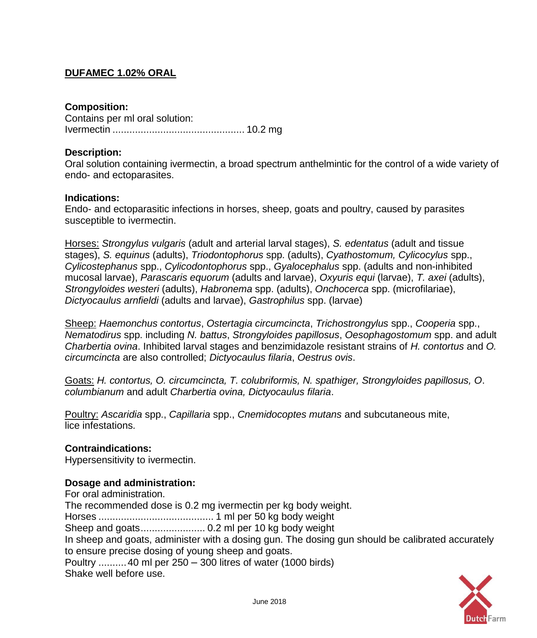# **DUFAMEC 1.02% ORAL**

# **Composition:**

Contains per ml oral solution: Ivermectin ............................................... 10.2 mg

## **Description:**

Oral solution containing ivermectin, a broad spectrum anthelmintic for the control of a wide variety of endo- and ectoparasites.

## **Indications:**

Endo- and ectoparasitic infections in horses, sheep, goats and poultry, caused by parasites susceptible to ivermectin.

Horses: *Strongylus vulgaris* (adult and arterial larval stages), *S. edentatus* (adult and tissue stages), *S. equinus* (adults), *Triodontophorus* spp. (adults), *Cyathostomum, Cylicocylus* spp., *Cylicostephanus* spp., *Cylicodontophorus* spp., *Gyalocephalus* spp. (adults and non-inhibited mucosal larvae), *Parascaris equorum* (adults and larvae), *Oxyuris equi* (larvae), *T. axei* (adults), *Strongyloides westeri* (adults), *Habronema* spp. (adults), *Onchocerca* spp. (microfilariae), *Dictyocaulus arnfieldi* (adults and larvae), *Gastrophilus* spp. (larvae)

Sheep: *Haemonchus contortus*, *Ostertagia circumcincta*, *Trichostrongylus* spp., *Cooperia* spp., *Nematodirus* spp. including *N. battus*, *Strongyloides papillosus*, *Oesophagostomum* spp. and adult *Charbertia ovina*. Inhibited larval stages and benzimidazole resistant strains of *H. contortus* and *O. circumcincta* are also controlled; *Dictyocaulus filaria*, *Oestrus ovis*.

Goats: *H. contortus, O. circumcincta, T. colubriformis, N. spathiger, Strongyloides papillosus, O*. *columbianum* and adult *Charbertia ovina, Dictyocaulus filaria*.

Poultry: *Ascaridia* spp., *Capillaria* spp., *Cnemidocoptes mutans* and subcutaneous mite, lice infestations.

## **Contraindications:**

Hypersensitivity to ivermectin.

## **Dosage and administration:**

For oral administration. The recommended dose is 0.2 mg ivermectin per kg body weight. Horses ......................................... 1 ml per 50 kg body weight Sheep and goats....................... 0.2 ml per 10 kg body weight In sheep and goats, administer with a dosing gun. The dosing gun should be calibrated accurately to ensure precise dosing of young sheep and goats. Poultry ..........40 ml per 250 – 300 litres of water (1000 birds) Shake well before use.